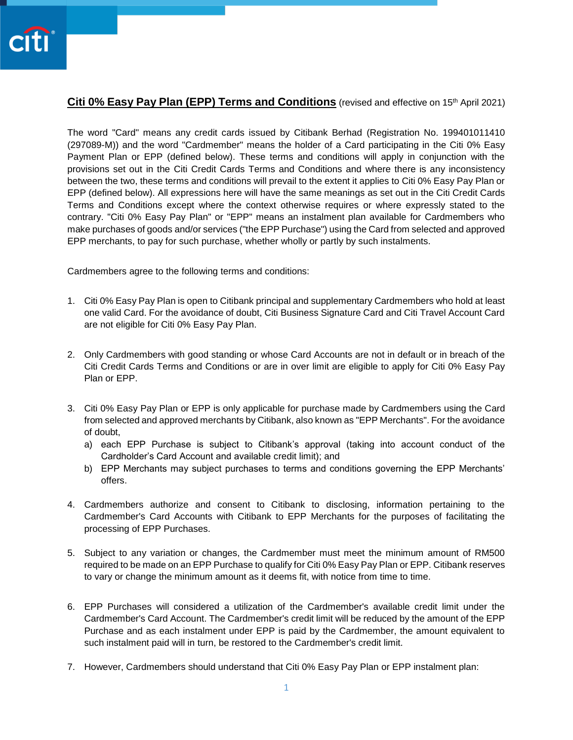## **Citi 0% Easy Pay Plan (EPP) Terms and Conditions** (revised and effective on 15<sup>th</sup> April 2021)

The word "Card" means any credit cards issued by Citibank Berhad (Registration No. 199401011410 (297089-M)) and the word "Cardmember" means the holder of a Card participating in the Citi 0% Easy Payment Plan or EPP (defined below). These terms and conditions will apply in conjunction with the provisions set out in the Citi Credit Cards Terms and Conditions and where there is any inconsistency between the two, these terms and conditions will prevail to the extent it applies to Citi 0% Easy Pay Plan or EPP (defined below). All expressions here will have the same meanings as set out in the Citi Credit Cards Terms and Conditions except where the context otherwise requires or where expressly stated to the contrary. "Citi 0% Easy Pay Plan" or "EPP" means an instalment plan available for Cardmembers who make purchases of goods and/or services ("the EPP Purchase") using the Card from selected and approved EPP merchants, to pay for such purchase, whether wholly or partly by such instalments.

Cardmembers agree to the following terms and conditions:

- 1. Citi 0% Easy Pay Plan is open to Citibank principal and supplementary Cardmembers who hold at least one valid Card. For the avoidance of doubt, Citi Business Signature Card and Citi Travel Account Card are not eligible for Citi 0% Easy Pay Plan.
- 2. Only Cardmembers with good standing or whose Card Accounts are not in default or in breach of the Citi Credit Cards Terms and Conditions or are in over limit are eligible to apply for Citi 0% Easy Pay Plan or EPP.
- 3. Citi 0% Easy Pay Plan or EPP is only applicable for purchase made by Cardmembers using the Card from selected and approved merchants by Citibank, also known as "EPP Merchants". For the avoidance of doubt,
	- a) each EPP Purchase is subject to Citibank's approval (taking into account conduct of the Cardholder's Card Account and available credit limit); and
	- b) EPP Merchants may subject purchases to terms and conditions governing the EPP Merchants' offers.
- 4. Cardmembers authorize and consent to Citibank to disclosing, information pertaining to the Cardmember's Card Accounts with Citibank to EPP Merchants for the purposes of facilitating the processing of EPP Purchases.
- 5. Subject to any variation or changes, the Cardmember must meet the minimum amount of RM500 required to be made on an EPP Purchase to qualify for Citi 0% Easy Pay Plan or EPP. Citibank reserves to vary or change the minimum amount as it deems fit, with notice from time to time.
- 6. EPP Purchases will considered a utilization of the Cardmember's available credit limit under the Cardmember's Card Account. The Cardmember's credit limit will be reduced by the amount of the EPP Purchase and as each instalment under EPP is paid by the Cardmember, the amount equivalent to such instalment paid will in turn, be restored to the Cardmember's credit limit.
- 7. However, Cardmembers should understand that Citi 0% Easy Pay Plan or EPP instalment plan: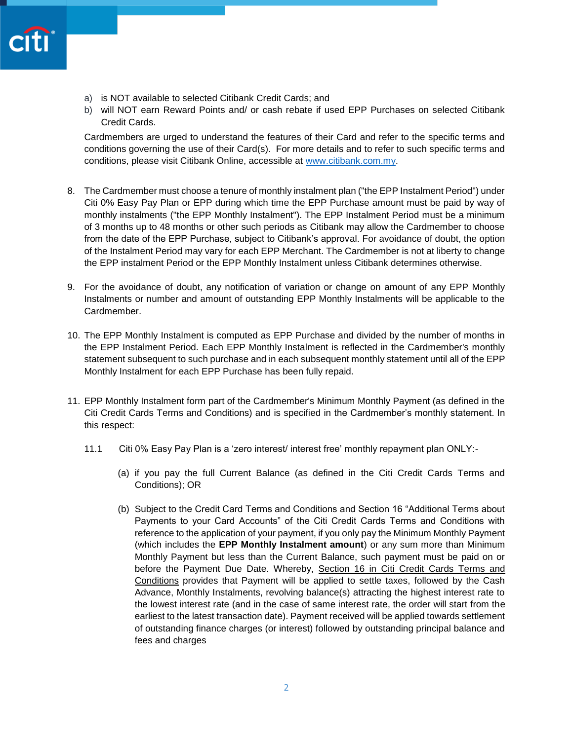- a) is NOT available to selected Citibank Credit Cards; and
- b) will NOT earn Reward Points and/ or cash rebate if used EPP Purchases on selected Citibank Credit Cards.

Cardmembers are urged to understand the features of their Card and refer to the specific terms and conditions governing the use of their Card(s). For more details and to refer to such specific terms and conditions, please visit Citibank Online, accessible at [www.citibank.com.my.](http://www.citibank.com.my/)

- 8. The Cardmember must choose a tenure of monthly instalment plan ("the EPP Instalment Period") under Citi 0% Easy Pay Plan or EPP during which time the EPP Purchase amount must be paid by way of monthly instalments ("the EPP Monthly Instalment"). The EPP Instalment Period must be a minimum of 3 months up to 48 months or other such periods as Citibank may allow the Cardmember to choose from the date of the EPP Purchase, subject to Citibank's approval. For avoidance of doubt, the option of the Instalment Period may vary for each EPP Merchant. The Cardmember is not at liberty to change the EPP instalment Period or the EPP Monthly Instalment unless Citibank determines otherwise.
- 9. For the avoidance of doubt, any notification of variation or change on amount of any EPP Monthly Instalments or number and amount of outstanding EPP Monthly Instalments will be applicable to the Cardmember.
- 10. The EPP Monthly Instalment is computed as EPP Purchase and divided by the number of months in the EPP Instalment Period. Each EPP Monthly Instalment is reflected in the Cardmember's monthly statement subsequent to such purchase and in each subsequent monthly statement until all of the EPP Monthly Instalment for each EPP Purchase has been fully repaid.
- 11. EPP Monthly Instalment form part of the Cardmember's Minimum Monthly Payment (as defined in the Citi Credit Cards Terms and Conditions) and is specified in the Cardmember's monthly statement. In this respect:
	- 11.1 Citi 0% Easy Pay Plan is a 'zero interest/ interest free' monthly repayment plan ONLY:-
		- (a) if you pay the full Current Balance (as defined in the Citi Credit Cards Terms and Conditions); OR
		- (b) Subject to the Credit Card Terms and Conditions and Section 16 "Additional Terms about Payments to your Card Accounts" of the Citi Credit Cards Terms and Conditions with reference to the application of your payment, if you only pay the Minimum Monthly Payment (which includes the **EPP Monthly Instalment amount**) or any sum more than Minimum Monthly Payment but less than the Current Balance, such payment must be paid on or before the Payment Due Date. Whereby, Section 16 in Citi Credit Cards Terms and Conditions provides that Payment will be applied to settle taxes, followed by the Cash Advance, Monthly Instalments, revolving balance(s) attracting the highest interest rate to the lowest interest rate (and in the case of same interest rate, the order will start from the earliest to the latest transaction date). Payment received will be applied towards settlement of outstanding finance charges (or interest) followed by outstanding principal balance and fees and charges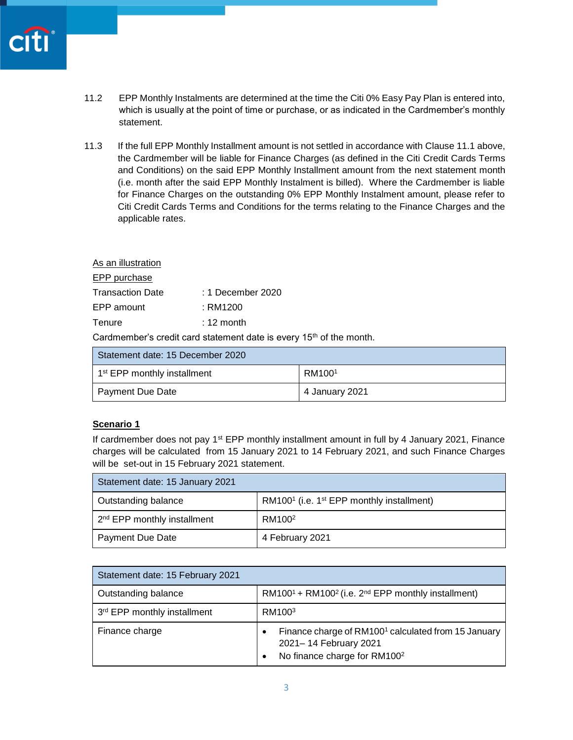- 11.2 EPP Monthly Instalments are determined at the time the Citi 0% Easy Pay Plan is entered into, which is usually at the point of time or purchase, or as indicated in the Cardmember's monthly statement.
- 11.3 If the full EPP Monthly Installment amount is not settled in accordance with Clause 11.1 above, the Cardmember will be liable for Finance Charges (as defined in the Citi Credit Cards Terms and Conditions) on the said EPP Monthly Installment amount from the next statement month (i.e. month after the said EPP Monthly Instalment is billed). Where the Cardmember is liable for Finance Charges on the outstanding 0% EPP Monthly Instalment amount, please refer to Citi Credit Cards Terms and Conditions for the terms relating to the Finance Charges and the applicable rates.

| As an illustration |                   |
|--------------------|-------------------|
| EPP purchase       |                   |
| Transaction Date   | : 1 December 2020 |
| EPP amount         | : RM1200          |
| Tenure             | $: 12$ month      |

Cardmember's credit card statement date is every 15<sup>th</sup> of the month.

| Statement date: 15 December 2020        |                    |
|-----------------------------------------|--------------------|
| 1 <sup>st</sup> EPP monthly installment | RM100 <sup>1</sup> |
| Payment Due Date                        | 4 January 2021     |

## **Scenario 1**

If cardmember does not pay 1<sup>st</sup> EPP monthly installment amount in full by 4 January 2021, Finance charges will be calculated from 15 January 2021 to 14 February 2021, and such Finance Charges will be set-out in 15 February 2021 statement.

| Statement date: 15 January 2021         |                                                                   |
|-----------------------------------------|-------------------------------------------------------------------|
| Outstanding balance                     | RM100 <sup>1</sup> (i.e. 1 <sup>st</sup> EPP monthly installment) |
| 2 <sup>nd</sup> EPP monthly installment | RM100 <sup>2</sup>                                                |
| Payment Due Date                        | 4 February 2021                                                   |

| Statement date: 15 February 2021 |                                                                                                                                           |
|----------------------------------|-------------------------------------------------------------------------------------------------------------------------------------------|
| Outstanding balance              | RM100 <sup>1</sup> + RM100 <sup>2</sup> (i.e. $2^{nd}$ EPP monthly installment)                                                           |
| 3rd EPP monthly installment      | RM100 <sup>3</sup>                                                                                                                        |
| Finance charge                   | Finance charge of RM100 <sup>1</sup> calculated from 15 January<br>٠<br>2021-14 February 2021<br>No finance charge for RM100 <sup>2</sup> |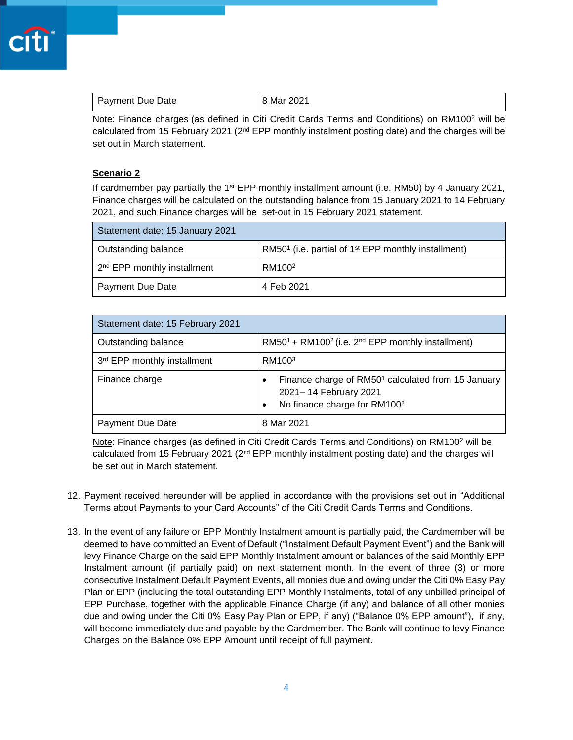| <b>Payment Due Date</b> | 8 Mar 2021 |
|-------------------------|------------|
|-------------------------|------------|

Note: Finance charges (as defined in Citi Credit Cards Terms and Conditions) on RM100<sup>2</sup> will be calculated from 15 February 2021 ( $2<sup>nd</sup>$  EPP monthly instalment posting date) and the charges will be set out in March statement.

## **Scenario 2**

If cardmember pay partially the 1<sup>st</sup> EPP monthly installment amount (i.e. RM50) by 4 January 2021, Finance charges will be calculated on the outstanding balance from 15 January 2021 to 14 February 2021, and such Finance charges will be set-out in 15 February 2021 statement.

| Statement date: 15 January 2021         |                                                                             |
|-----------------------------------------|-----------------------------------------------------------------------------|
| Outstanding balance                     | RM50 <sup>1</sup> (i.e. partial of 1 <sup>st</sup> EPP monthly installment) |
| 2 <sup>nd</sup> EPP monthly installment | RM100 <sup>2</sup>                                                          |
| Payment Due Date                        | 4 Feb 2021                                                                  |

| Statement date: 15 February 2021 |                                                                                                                                          |
|----------------------------------|------------------------------------------------------------------------------------------------------------------------------------------|
| Outstanding balance              | $RM501 + RM1002$ (i.e. 2 <sup>nd</sup> EPP monthly installment)                                                                          |
| 3rd EPP monthly installment      | RM100 <sup>3</sup>                                                                                                                       |
| Finance charge                   | Finance charge of RM50 <sup>1</sup> calculated from 15 January<br>٠<br>2021-14 February 2021<br>No finance charge for RM100 <sup>2</sup> |
| Payment Due Date                 | 8 Mar 2021                                                                                                                               |

Note: Finance charges (as defined in Citi Credit Cards Terms and Conditions) on RM100<sup>2</sup> will be calculated from 15 February 2021 (2<sup>nd</sup> EPP monthly instalment posting date) and the charges will be set out in March statement.

- 12. Payment received hereunder will be applied in accordance with the provisions set out in "Additional Terms about Payments to your Card Accounts" of the Citi Credit Cards Terms and Conditions.
- 13. In the event of any failure or EPP Monthly Instalment amount is partially paid, the Cardmember will be deemed to have committed an Event of Default ("Instalment Default Payment Event") and the Bank will levy Finance Charge on the said EPP Monthly Instalment amount or balances of the said Monthly EPP Instalment amount (if partially paid) on next statement month. In the event of three (3) or more consecutive Instalment Default Payment Events, all monies due and owing under the Citi 0% Easy Pay Plan or EPP (including the total outstanding EPP Monthly Instalments, total of any unbilled principal of EPP Purchase, together with the applicable Finance Charge (if any) and balance of all other monies due and owing under the Citi 0% Easy Pay Plan or EPP, if any) ("Balance 0% EPP amount"), if any, will become immediately due and payable by the Cardmember. The Bank will continue to levy Finance Charges on the Balance 0% EPP Amount until receipt of full payment.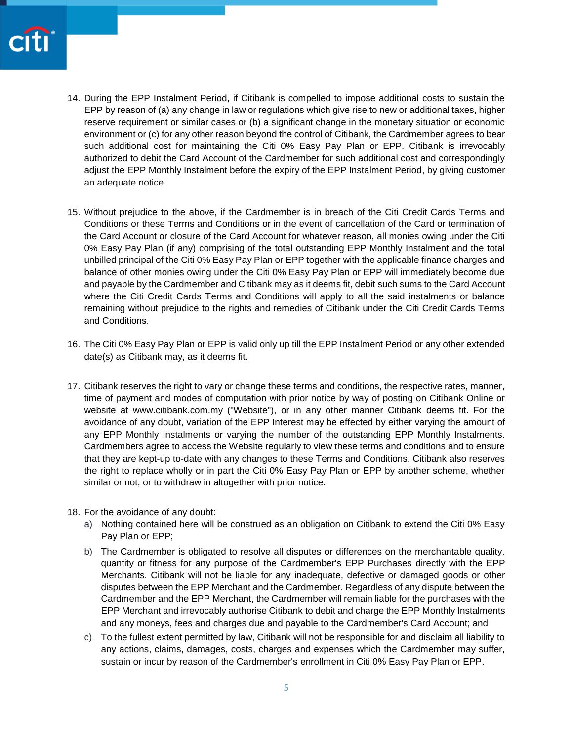

- 14. During the EPP Instalment Period, if Citibank is compelled to impose additional costs to sustain the EPP by reason of (a) any change in law or regulations which give rise to new or additional taxes, higher reserve requirement or similar cases or (b) a significant change in the monetary situation or economic environment or (c) for any other reason beyond the control of Citibank, the Cardmember agrees to bear such additional cost for maintaining the Citi 0% Easy Pay Plan or EPP. Citibank is irrevocably authorized to debit the Card Account of the Cardmember for such additional cost and correspondingly adjust the EPP Monthly Instalment before the expiry of the EPP Instalment Period, by giving customer an adequate notice.
- 15. Without prejudice to the above, if the Cardmember is in breach of the Citi Credit Cards Terms and Conditions or these Terms and Conditions or in the event of cancellation of the Card or termination of the Card Account or closure of the Card Account for whatever reason, all monies owing under the Citi 0% Easy Pay Plan (if any) comprising of the total outstanding EPP Monthly Instalment and the total unbilled principal of the Citi 0% Easy Pay Plan or EPP together with the applicable finance charges and balance of other monies owing under the Citi 0% Easy Pay Plan or EPP will immediately become due and payable by the Cardmember and Citibank may as it deems fit, debit such sums to the Card Account where the Citi Credit Cards Terms and Conditions will apply to all the said instalments or balance remaining without prejudice to the rights and remedies of Citibank under the Citi Credit Cards Terms and Conditions.
- 16. The Citi 0% Easy Pay Plan or EPP is valid only up till the EPP Instalment Period or any other extended date(s) as Citibank may, as it deems fit.
- 17. Citibank reserves the right to vary or change these terms and conditions, the respective rates, manner, time of payment and modes of computation with prior notice by way of posting on Citibank Online or website at www.citibank.com.my ("Website"), or in any other manner Citibank deems fit. For the avoidance of any doubt, variation of the EPP Interest may be effected by either varying the amount of any EPP Monthly Instalments or varying the number of the outstanding EPP Monthly Instalments. Cardmembers agree to access the Website regularly to view these terms and conditions and to ensure that they are kept-up to-date with any changes to these Terms and Conditions. Citibank also reserves the right to replace wholly or in part the Citi 0% Easy Pay Plan or EPP by another scheme, whether similar or not, or to withdraw in altogether with prior notice.
- 18. For the avoidance of any doubt:
	- a) Nothing contained here will be construed as an obligation on Citibank to extend the Citi 0% Easy Pay Plan or EPP;
	- b) The Cardmember is obligated to resolve all disputes or differences on the merchantable quality, quantity or fitness for any purpose of the Cardmember's EPP Purchases directly with the EPP Merchants. Citibank will not be liable for any inadequate, defective or damaged goods or other disputes between the EPP Merchant and the Cardmember. Regardless of any dispute between the Cardmember and the EPP Merchant, the Cardmember will remain liable for the purchases with the EPP Merchant and irrevocably authorise Citibank to debit and charge the EPP Monthly Instalments and any moneys, fees and charges due and payable to the Cardmember's Card Account; and
	- c) To the fullest extent permitted by law, Citibank will not be responsible for and disclaim all liability to any actions, claims, damages, costs, charges and expenses which the Cardmember may suffer, sustain or incur by reason of the Cardmember's enrollment in Citi 0% Easy Pay Plan or EPP.